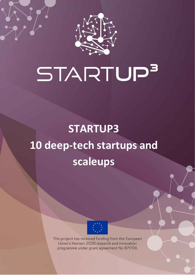

# STARTUP<sup>3</sup>

# **STARTUP3 10 deep-tech startups and scaleups**



This project has received funding from the European Union's Horizon 2020 research and innovation programme under grant agreement No 871709.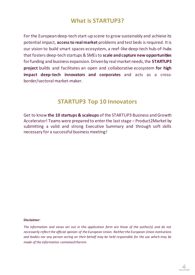# **What is STARTUP3?**

For the European deep-tech start-up scene to grow sustainably and achieve its potential impact, **access to real market** problems and test beds is required. It is our vision to build smart spaces ecosystem, a reef-like deep-tech hub-of-hubs that fosters deep-tech startups & SMEs to **scale and capture new opportunities**  for funding and business expansion. Driven by real market needs, the **STARTUP3 project** builds and facilitates an open and collaborative ecosystem **for high impact deep-tech innovators and corporates** and acts as a crossborder/sectoral market-maker.

### **STARTUP3 Top 10 Innovators**

Get to know **the 10 startups & scaleups** of the STARTUP3 Business and Growth Accelerator! Teams were prepared to enter the last stage – Product2Market by submitting a valid and strong Executive Summary and through soft skills necessary for a successful business meeting!

### **Disclaimer:**

*The information and views set out in this application form are those of the author(s) and do not necessarily reflect the official opinion of the European Union. Neither the European Union institutions and bodies nor any person acting on their behalf may be held responsible for the use which may be made of the information contained therein.*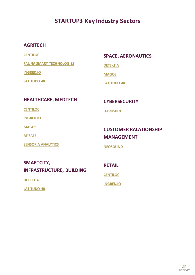# **STARTUP3 Key Industry Sectors**

### **AGRITECH**

**[CENTILOC](#page-3-0)**

**[FAUNA SMART TECHNOLOGIES](#page-5-0)**

**[INGRED.IO](#page-7-0)**

**[LATITUDO 40](#page-8-0)**

### **SPACE, AERONAUTICS**

**[DETEKTIA](#page-4-0)**

**[MAGOS](#page-9-0)**

**[LATITUDO 40](#page-8-0)**

### **HEALTHCARE, MEDTECH**

**[CENTILOC](#page-3-0)**

**[INGRED.IO](#page-7-0)**

**[MAGOS](#page-9-0)**

**[RT SAFE](#page-11-0)**

**[SENSORIA ANALYTICS](#page-12-0)**

### **CYBERSECURITY**

**[HARUSPEX](#page-6-0)**

### **CUSTOMER RALATIONSHIP MANAGEMENT**

**[NEOSOUND](#page-10-0)**

### **SMARTCITY, INFRASTRUCTURE, BUILDING**

**[DETEKTIA](#page-4-0)**

**[LATITUDO 40](#page-8-0)**

**RETAIL**

**[CENTILOC](#page-3-0)**

**[INGRED.IO](#page-7-0)**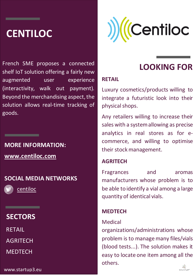# <span id="page-3-0"></span>**CENTILOC**

French SME proposes a connected shelf IoT solution offering a fairly new augmented user experience (interactivity, walk out payment). Beyond the merchandising aspect, the solution allows real-time tracking of goods.

# **MORE INFORMATION: [www.centiloc.com](http://www.centiloc.com/index.php/en/home/)**

# **SOCIAL MEDIA NETWORKS**

[centiloc](https://twitter.com/centiloc)

\_\_\_\_\_

# **SECTORS**

<u> Tanzania (h. 1878).</u>

RETAIL

AGRITECH

**MEDTECH** 

www.startup3.eu



# **LOOKING FOR**

### **RETAIL**

Luxury cosmetics/products willing to integrate a futuristic look into their physical shops.

Any retailers willing to increase their sales with a system allowing as precise analytics in real stores as for ecommerce, and willing to optimise their stock management.

### **AGRITECH**

Fragrances and aromas manufacturers whose problem is to be able to identify a vial among a large quantity of identical vials.

### **MEDTECH**

### Medical

organizations/administrations whose problem is to manage many files/vials (blood tests...). The solution makes it easy to locate one item among all the others.

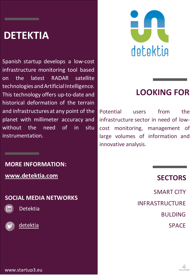# <span id="page-4-0"></span>**DETEKTIA**

Spanish startup develops a low-cost infrastructure monitoring tool based on the latest RADAR satellite technologies and Artificial Intelligence. This technology offers up-to-date and historical deformation of the terrain and infrastructures at any point of the planet with millimeter accuracy and without the need of in situ instrumentation.

**MORE INFORMATION:**

**[www.detektia.com](https://detektia.com/)**

\_\_\_\_\_

**SOCIAL MEDIA NETWORKS**



[Detektia](https://www.linkedin.com/company/detektiamonitoring/)





# **LOOKING FOR**

Potential users from the infrastructure sector in need of lowcost monitoring, management of large volumes of information and innovative analysis.

# **SECTORS**

SMART CITY INFRASTRUCTURE BULDING SPACE

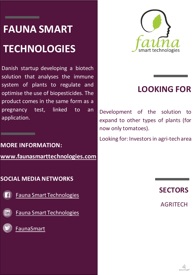# <span id="page-5-0"></span>**FAUNA SMART TECHNOLOGIES**

\_\_

Danish startup developing a biotech solution that analyses the immune system of plants to regulate and optimise the use of biopesticides. The product comes in the same form as a pregnancy test, linked to an application.

# **MORE INFORMATION: www.faunasmarttechnologies.com**

# **SOCIAL MEDIA NETWORKS**

[Fauna Smart Technologies](https://www.facebook.com/FaunaSmart/)

[Fauna Smart Technologies](https://www.linkedin.com/company/faunasmart/)

[FaunaSmart](https://twitter.com/faunasmart)

linl



# **LOOKING FOR**

Development of the solution to expand to other types of plants (for now only tomatoes).

Looking for: Investors in agri-tech area

**SECTORS**

AGRITECH

STARTUP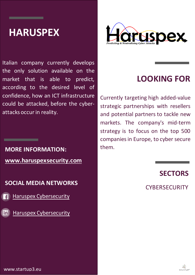# <span id="page-6-0"></span>**HARUSPEX**

Italian company currently develops the only solution available on the market that is able to predict, according to the desired level of confidence, how an ICT infrastructure could be attacked, before the cyberattacks occur in reality.

# **MORE INFORMATION: [www.haruspexsecurity.com](http://www.haruspexsecurity.com/)**

\_\_\_\_\_

**SOCIAL MEDIA NETWORKS**

[Haruspex Cybersecurity](https://www.facebook.com/HaruspexSRL/)

[Haruspex Cybersecurity](https://www.linkedin.com/company/haruspex/)



# **LOOKING FOR**

Currently targeting high added-value strategic partnerships with resellers and potential partners to tackle new markets. The company's mid-term strategy is to focus on the top 500 companies in Europe, to cyber secure them.

# **SECTORS**

**CYBERSECURITY** 

www.startup3.eu

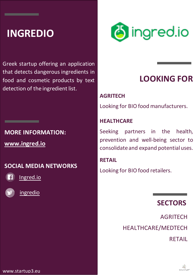# <span id="page-7-0"></span>**INGREDIO**

Greek startup offering an application that detects dangerous ingredients in food and cosmetic products by text detection of the ingredient list.

# **MORE INFORMATION:**

**[www.ingred.io](http://www.ingred.io/)**

\_\_\_\_\_

# **SOCIAL MEDIA NETWORKS**



[Ingred.io](https://www.facebook.com/ingred.io/)



[ingredio](https://twitter.com/ingredio)



# **LOOKING FOR**

### **AGRITECH**

Looking for BIO food manufacturers.

### **HEALTHCARE**

Seeking partners in the health, prevention and well-being sector to consolidate and expand potential uses.

### **RETAIL**

Looking for BIO food retailers.

# **SECTORS**

**AGRITECH** HEALTHCARE/MEDTECH RETAIL

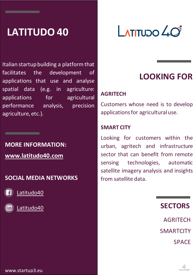# <span id="page-8-0"></span>**LATITUDO 40**

Italian startup building a platform that facilitates the development of applications that use and analyse spatial data (e.g. in agriculture: applications for agricultural performance analysis, precision agriculture, etc.).

# **MORE INFORMATION: [www.latitudo40.com](http://www.latitudo40.com/)**

# **SOCIAL MEDIA NETWORKS**

[Latitudo40](https://www.facebook.com/latitudo40/)

\_\_\_\_\_



[Latitudo40](https://www.linkedin.com/company/latitudo-40)

# $L$ ATITUDO  $\mathcal{L}$ O

# **LOOKING FOR**

# **AGRITECH**

Customers whose need is to develop applications for agricultural use.

### **SMART CITY**

Looking for customers within the urban, agritech and infrastructure sector that can benefit from remote sensing technologies, automatic satellite imagery analysis and insights from satellite data.

# **SECTORS**

AGRITECH **SMARTCITY SPACE** 

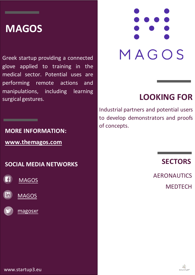# <span id="page-9-0"></span>**MAGOS**

\_\_\_\_\_

Greek startup providing a connected glove applied to training in the medical sector. Potential uses are performing remote actions and manipulations, including learning surgical gestures.

### **MORE INFORMATION:**

<u> Tanzania da Tanzania da Tanzania da Tanzania da Tanzania da Tanzania da Tanzania da Tanzania da Tanzania da T</u>

**[www.themagos.com](https://www.themagos.com/)**

### **SOCIAL MEDIA NETWORKS**







# MAGOS

# **LOOKING FOR**

Industrial partners and potential users to develop demonstrators and proofs of concepts.

# **SECTORS**

AERONAUTICS **MEDTECH** 

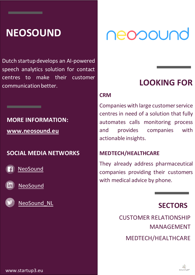# <span id="page-10-0"></span>**NEOSOUND**

Dutch startup develops an AI-powered speech analytics solution for contact centres to make their customer communication better. **LOOKING FOR** 

# **MORE INFORMATION: [www.neosound.eu](http://www.neosound.eu/)**

**SOCIAL MEDIA NETWORKS**

**[NeoSound](http://facebook.com/neosound.eu)** 

\_\_\_\_\_

[NeoSound](http://linkedin.com/company/neosound/)



[NeoSound\\_NL](https://twitter.com/NeoSound_NL)

# neopound

### **CRM**

Companies with large customer service centres in need of a solution that fully automates calls monitoring process and provides companies with actionable insights.

# **MEDTECH/HEALTHCARE**

They already address pharmaceutical companies providing their customers with medical advice by phone.

# **SECTORS**

CUSTOMER RELATIONSHIP MANAGEMENT MEDTECH/HEALTHCARE

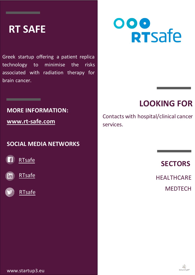# <span id="page-11-0"></span>**RT SAFE**

Greek startup offering a patient replica technology to minimise the risks associated with radiation therapy for brain cancer.

# **MORE INFORMATION:**

**[www.rt-safe.com](http://www.rt-safe.com/)**

\_\_\_\_\_

### **SOCIAL MEDIA NETWORKS**







# ooo<br>RTsafe

# **LOOKING FOR**

Contacts with hospital/clinical cancer services.

# **SECTORS**

**HEALTHCARE MEDTECH** 

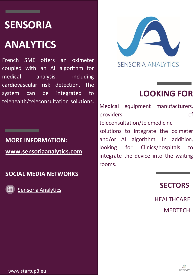# <span id="page-12-0"></span>**SENSORIA**

# **ANALYTICS**

French SME offers an oximeter coupled with an AI algorithm for medical analysis, including cardiovascular risk detection. The system can be integrated to telehealth/teleconsultation solutions.

**MORE INFORMATION: [www.sensoriaanalytics.com](http://www.sensoriaanalytics.com/)**

**SOCIAL MEDIA NETWORKS**



\_\_\_\_\_

[Sensoria Analytics](https://fr.linkedin.com/company/sensoria-analytics)



# **LOOKING FOR**

Medical equipment manufacturers, providers of teleconsultation/telemedicine solutions to integrate the oximeter and/or AI algorithm. In addition, looking for Clinics/hospitals to integrate the device into the waiting rooms.

# **SECTORS**

**HEALTHCARE MEDTECH**